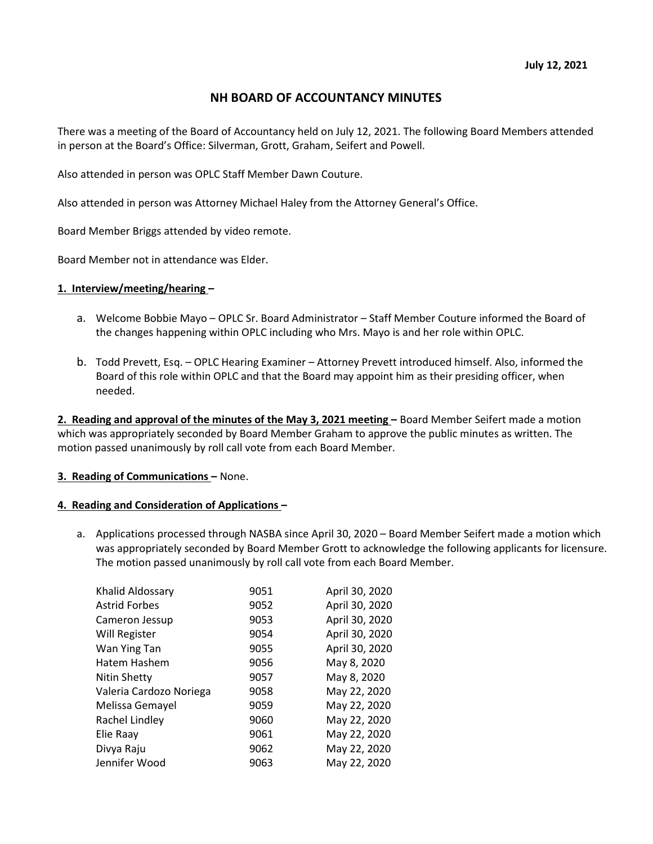# NH BOARD OF ACCOUNTANCY MINUTES

There was a meeting of the Board of Accountancy held on July 12, 2021. The following Board Members attended in person at the Board's Office: Silverman, Grott, Graham, Seifert and Powell.

Also attended in person was OPLC Staff Member Dawn Couture.

Also attended in person was Attorney Michael Haley from the Attorney General's Office.

Board Member Briggs attended by video remote.

Board Member not in attendance was Elder.

### 1. Interview/meeting/hearing –

- a. Welcome Bobbie Mayo OPLC Sr. Board Administrator Staff Member Couture informed the Board of the changes happening within OPLC including who Mrs. Mayo is and her role within OPLC.
- b. Todd Prevett, Esq. OPLC Hearing Examiner Attorney Prevett introduced himself. Also, informed the Board of this role within OPLC and that the Board may appoint him as their presiding officer, when needed.

2. Reading and approval of the minutes of the May 3, 2021 meeting - Board Member Seifert made a motion which was appropriately seconded by Board Member Graham to approve the public minutes as written. The motion passed unanimously by roll call vote from each Board Member.

#### 3. Reading of Communications – None.

#### 4. Reading and Consideration of Applications –

a. Applications processed through NASBA since April 30, 2020 – Board Member Seifert made a motion which was appropriately seconded by Board Member Grott to acknowledge the following applicants for licensure. The motion passed unanimously by roll call vote from each Board Member.

| Khalid Aldossary        | 9051 | April 30, 2020 |
|-------------------------|------|----------------|
| <b>Astrid Forbes</b>    | 9052 | April 30, 2020 |
| Cameron Jessup          | 9053 | April 30, 2020 |
| Will Register           | 9054 | April 30, 2020 |
| Wan Ying Tan            | 9055 | April 30, 2020 |
| Hatem Hashem            | 9056 | May 8, 2020    |
| <b>Nitin Shetty</b>     | 9057 | May 8, 2020    |
| Valeria Cardozo Noriega | 9058 | May 22, 2020   |
| Melissa Gemayel         | 9059 | May 22, 2020   |
| Rachel Lindley          | 9060 | May 22, 2020   |
| Elie Raay               | 9061 | May 22, 2020   |
| Divya Raju              | 9062 | May 22, 2020   |
| Jennifer Wood           | 9063 | May 22, 2020   |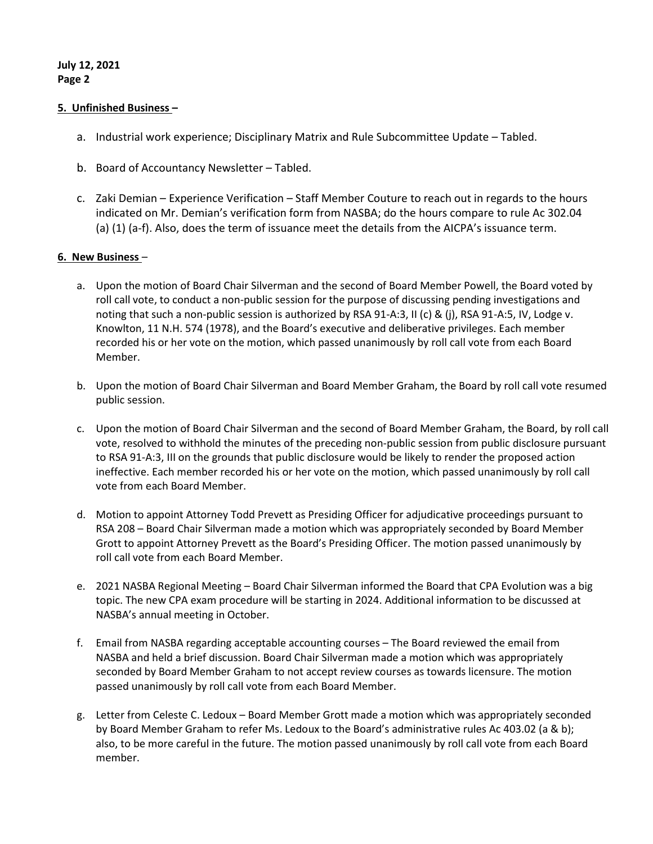## July 12, 2021 Page 2

## 5. Unfinished Business –

- a. Industrial work experience; Disciplinary Matrix and Rule Subcommittee Update Tabled.
- b. Board of Accountancy Newsletter Tabled.
- c. Zaki Demian Experience Verification Staff Member Couture to reach out in regards to the hours indicated on Mr. Demian's verification form from NASBA; do the hours compare to rule Ac 302.04 (a) (1) (a-f). Also, does the term of issuance meet the details from the AICPA's issuance term.

## 6. New Business –

- a. Upon the motion of Board Chair Silverman and the second of Board Member Powell, the Board voted by roll call vote, to conduct a non-public session for the purpose of discussing pending investigations and noting that such a non-public session is authorized by RSA 91-A:3, II (c) & (j), RSA 91-A:5, IV, Lodge v. Knowlton, 11 N.H. 574 (1978), and the Board's executive and deliberative privileges. Each member recorded his or her vote on the motion, which passed unanimously by roll call vote from each Board Member.
- b. Upon the motion of Board Chair Silverman and Board Member Graham, the Board by roll call vote resumed public session.
- c. Upon the motion of Board Chair Silverman and the second of Board Member Graham, the Board, by roll call vote, resolved to withhold the minutes of the preceding non-public session from public disclosure pursuant to RSA 91-A:3, III on the grounds that public disclosure would be likely to render the proposed action ineffective. Each member recorded his or her vote on the motion, which passed unanimously by roll call vote from each Board Member.
- d. Motion to appoint Attorney Todd Prevett as Presiding Officer for adjudicative proceedings pursuant to RSA 208 – Board Chair Silverman made a motion which was appropriately seconded by Board Member Grott to appoint Attorney Prevett as the Board's Presiding Officer. The motion passed unanimously by roll call vote from each Board Member.
- e. 2021 NASBA Regional Meeting Board Chair Silverman informed the Board that CPA Evolution was a big topic. The new CPA exam procedure will be starting in 2024. Additional information to be discussed at NASBA's annual meeting in October.
- f. Email from NASBA regarding acceptable accounting courses The Board reviewed the email from NASBA and held a brief discussion. Board Chair Silverman made a motion which was appropriately seconded by Board Member Graham to not accept review courses as towards licensure. The motion passed unanimously by roll call vote from each Board Member.
- g. Letter from Celeste C. Ledoux Board Member Grott made a motion which was appropriately seconded by Board Member Graham to refer Ms. Ledoux to the Board's administrative rules Ac 403.02 (a & b); also, to be more careful in the future. The motion passed unanimously by roll call vote from each Board member.